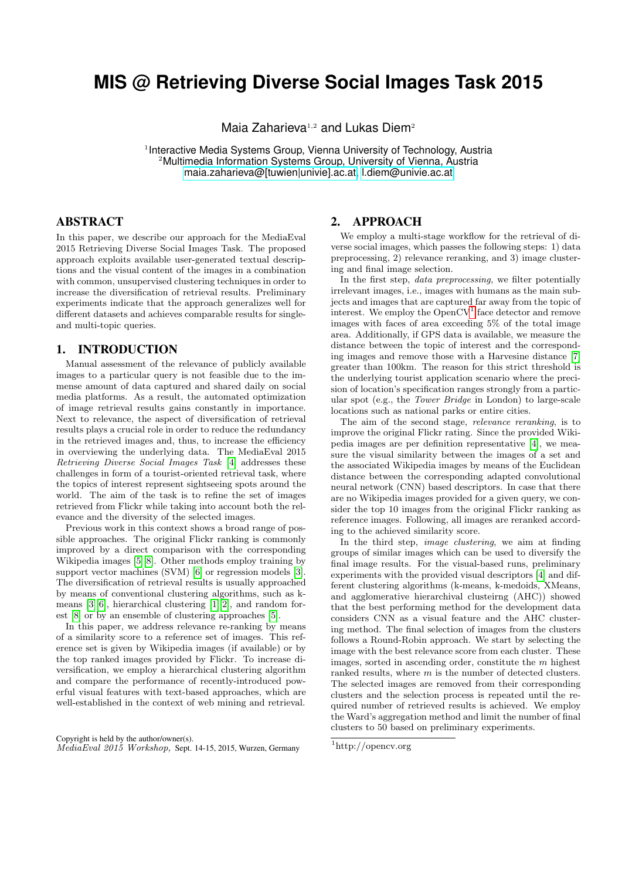# **MIS @ Retrieving Diverse Social Images Task 2015**

Maia Zaharieva<sup>1,2</sup> and Lukas Diem<sup>2</sup>

<sup>1</sup> Interactive Media Systems Group, Vienna University of Technology, Austria <sup>2</sup>Multimedia Information Systems Group, University of Vienna, Austria [maia.zaharieva@\[tuwien|univie\].ac.at,](mailto:maia.zaharieva@tuwien.ac.at) [l.diem@univie.ac.at](mailto:l.diem@univie.ac.at)

## ABSTRACT

In this paper, we describe our approach for the MediaEval 2015 Retrieving Diverse Social Images Task. The proposed approach exploits available user-generated textual descriptions and the visual content of the images in a combination with common, unsupervised clustering techniques in order to increase the diversification of retrieval results. Preliminary experiments indicate that the approach generalizes well for different datasets and achieves comparable results for singleand multi-topic queries.

# 1. INTRODUCTION

Manual assessment of the relevance of publicly available images to a particular query is not feasible due to the immense amount of data captured and shared daily on social media platforms. As a result, the automated optimization of image retrieval results gains constantly in importance. Next to relevance, the aspect of diversification of retrieval results plays a crucial role in order to reduce the redundancy in the retrieved images and, thus, to increase the efficiency in overviewing the underlying data. The MediaEval 2015 Retrieving Diverse Social Images Task [\[4\]](#page-2-0) addresses these challenges in form of a tourist-oriented retrieval task, where the topics of interest represent sightseeing spots around the world. The aim of the task is to refine the set of images retrieved from Flickr while taking into account both the relevance and the diversity of the selected images.

Previous work in this context shows a broad range of possible approaches. The original Flickr ranking is commonly improved by a direct comparison with the corresponding Wikipedia images [\[5\]](#page-2-1)[\[8\]](#page-2-2). Other methods employ training by support vector machines (SVM) [\[6\]](#page-2-3) or regression models [\[3\]](#page-2-4). The diversification of retrieval results is usually approached by means of conventional clustering algorithms, such as kmeans [\[3\]](#page-2-4)[\[6\]](#page-2-3), hierarchical clustering [\[1\]](#page-2-5)[\[2\]](#page-2-6), and random forest [\[8\]](#page-2-2) or by an ensemble of clustering approaches [\[5\]](#page-2-1).

In this paper, we address relevance re-ranking by means of a similarity score to a reference set of images. This reference set is given by Wikipedia images (if available) or by the top ranked images provided by Flickr. To increase diversification, we employ a hierarchical clustering algorithm and compare the performance of recently-introduced powerful visual features with text-based approaches, which are well-established in the context of web mining and retrieval.

## 2. APPROACH

We employ a multi-stage workflow for the retrieval of diverse social images, which passes the following steps: 1) data preprocessing, 2) relevance reranking, and 3) image clustering and final image selection.

In the first step, data preprocessing, we filter potentially irrelevant images, i.e., images with humans as the main subjects and images that are captured far away from the topic of interest. We employ the  $OpenCV<sup>1</sup>$  $OpenCV<sup>1</sup>$  $OpenCV<sup>1</sup>$  face detector and remove images with faces of area exceeding 5% of the total image area. Additionally, if GPS data is available, we measure the distance between the topic of interest and the corresponding images and remove those with a Harvesine distance [\[7\]](#page-2-7) greater than 100km. The reason for this strict threshold is the underlying tourist application scenario where the precision of location's specification ranges strongly from a particular spot (e.g., the Tower Bridge in London) to large-scale locations such as national parks or entire cities.

The aim of the second stage, relevance reranking, is to improve the original Flickr rating. Since the provided Wikipedia images are per definition representative [\[4\]](#page-2-0), we measure the visual similarity between the images of a set and the associated Wikipedia images by means of the Euclidean distance between the corresponding adapted convolutional neural network (CNN) based descriptors. In case that there are no Wikipedia images provided for a given query, we consider the top 10 images from the original Flickr ranking as reference images. Following, all images are reranked according to the achieved similarity score.

In the third step, image clustering, we aim at finding groups of similar images which can be used to diversify the final image results. For the visual-based runs, preliminary experiments with the provided visual descriptors [\[4\]](#page-2-0) and different clustering algorithms (k-means, k-medoids, XMeans, and agglomerative hierarchival clusteirng (AHC)) showed that the best performing method for the development data considers CNN as a visual feature and the AHC clustering method. The final selection of images from the clusters follows a Round-Robin approach. We start by selecting the image with the best relevance score from each cluster. These images, sorted in ascending order, constitute the m highest ranked results, where  $m$  is the number of detected clusters. The selected images are removed from their corresponding clusters and the selection process is repeated until the required number of retrieved results is achieved. We employ the Ward's aggregation method and limit the number of final clusters to 50 based on preliminary experiments.

Copyright is held by the author/owner(s). MediaEval 2015 Workshop, Sept. 14-15, 2015, Wurzen, Germany

<span id="page-0-0"></span><sup>1</sup>http://opencv.org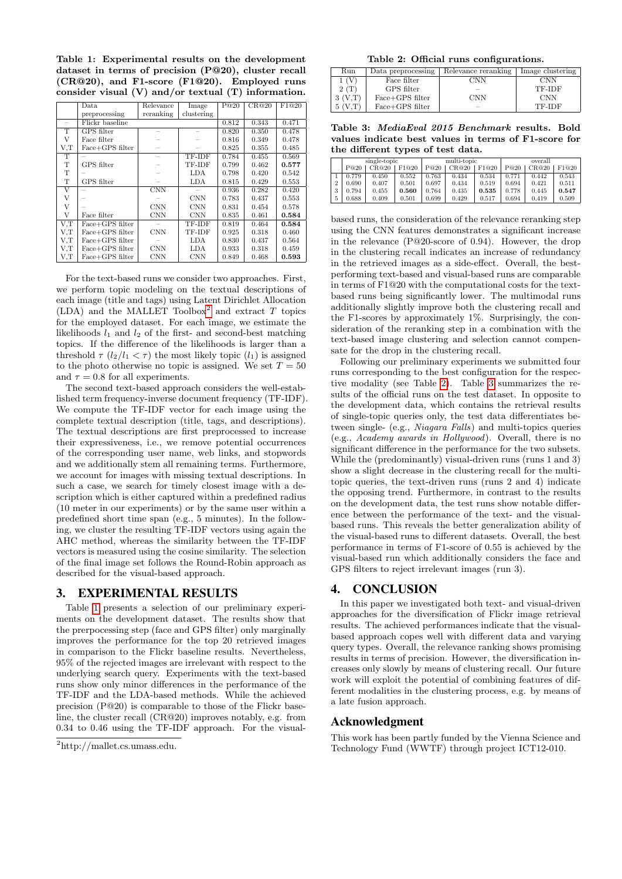<span id="page-1-1"></span>Table 1: Experimental results on the development dataset in terms of precision (P@20), cluster recall (CR@20), and F1-score (F1@20). Employed runs consider visual (V) and/or textual (T) information.

|                    | Relevance<br>Data |                         | Image      | P@20  | CR@20 | F1@20 |
|--------------------|-------------------|-------------------------|------------|-------|-------|-------|
|                    |                   |                         |            |       |       |       |
|                    | preprocessing     | reranking               | clustering |       |       |       |
|                    | Flickr baseline   |                         | 0.812      | 0.343 | 0.471 |       |
| T                  | <b>GPS</b> filter |                         |            | 0.820 | 0.350 | 0.478 |
| V                  | Face filter       |                         |            | 0.816 | 0.349 | 0.478 |
| V.T                | Face+GPS filter   |                         |            | 0.825 | 0.355 | 0.485 |
| T                  |                   |                         | TF-IDF     | 0.784 | 0.455 | 0.569 |
| T                  | GPS filter        |                         | TF-IDF     | 0.799 | 0.462 | 0.577 |
| T                  |                   |                         | LDA        | 0.798 | 0.420 | 0.542 |
| T                  | GPS filter        |                         | LDA        | 0.815 | 0.429 | 0.553 |
| $\overline{\rm v}$ |                   | $\overline{\text{CNN}}$ |            | 0.936 | 0.282 | 0.420 |
| V                  |                   |                         | <b>CNN</b> | 0.783 | 0.437 | 0.553 |
| V                  |                   | <b>CNN</b>              | <b>CNN</b> | 0.831 | 0.454 | 0.578 |
| V                  | Face filter       | <b>CNN</b>              | <b>CNN</b> | 0.835 | 0.461 | 0.584 |
| V.T                | Face+GPS filter   |                         | TF-IDF     | 0.819 | 0.464 | 0.584 |
| V,T                | Face+GPS filter   | <b>CNN</b>              | TF-IDF     | 0.925 | 0.318 | 0.460 |
| V,T                | Face+GPS filter   |                         | LDA        | 0.830 | 0.437 | 0.564 |
| V,T                | Face+GPS filter   | <b>CNN</b>              | LDA        | 0.933 | 0.318 | 0.459 |
| V,T                | Face+GPS filter   | <b>CNN</b>              | <b>CNN</b> | 0.849 | 0.468 | 0.593 |

For the text-based runs we consider two approaches. First, we perform topic modeling on the textual descriptions of each image (title and tags) using Latent Dirichlet Allocation (LDA) and the MALLET Toolbox<sup>[2](#page-1-0)</sup> and extract T topics for the employed dataset. For each image, we estimate the likelihoods  $l_1$  and  $l_2$  of the first- and second-best matching topics. If the difference of the likelihoods is larger than a threshold  $\tau$  ( $l_2/l_1 < \tau$ ) the most likely topic ( $l_1$ ) is assigned to the photo otherwise no topic is assigned. We set  $T = 50$ and  $\tau = 0.8$  for all experiments.

The second text-based approach considers the well-established term frequency-inverse document frequency (TF-IDF). We compute the TF-IDF vector for each image using the complete textual description (title, tags, and descriptions). The textual descriptions are first preprocessed to increase their expressiveness, i.e., we remove potential occurrences of the corresponding user name, web links, and stopwords and we additionally stem all remaining terms. Furthermore, we account for images with missing textual descriptions. In such a case, we search for timely closest image with a description which is either captured within a predefined radius (10 meter in our experiments) or by the same user within a predefined short time span (e.g., 5 minutes). In the following, we cluster the resulting TF-IDF vectors using again the AHC method, whereas the similarity between the TF-IDF vectors is measured using the cosine similarity. The selection of the final image set follows the Round-Robin approach as described for the visual-based approach.

#### 3. EXPERIMENTAL RESULTS

Table [1](#page-1-1) presents a selection of our preliminary experiments on the development dataset. The results show that the prerpocessing step (face and GPS filter) only marginally improves the performance for the top 20 retrieved images in comparison to the Flickr baseline results. Nevertheless, 95% of the rejected images are irrelevant with respect to the underlying search query. Experiments with the text-based runs show only minor differences in the performance of the TF-IDF and the LDA-based methods. While the achieved precision (P@20) is comparable to those of the Flickr baseline, the cluster recall (CR@20) improves notably, e.g. from 0.34 to 0.46 using the TF-IDF approach. For the visual-

<span id="page-1-2"></span>Table 2: Official runs configurations.

| Run        | Data preprocessing | Relevance reranking | Image clustering |
|------------|--------------------|---------------------|------------------|
| $\sqrt{V}$ | Face filter        | CNN                 | <b>CNN</b>       |
| 2(T)       | GPS filter         |                     | TF-IDF           |
|            | $Face+GPS$ filter  | <b>CNN</b>          | <b>CNN</b>       |
|            | $Face+GPS$ filter  |                     | TF-IDF           |

<span id="page-1-3"></span>Table 3: MediaEval 2015 Benchmark results. Bold values indicate best values in terms of F1-score for the different types of test data.

|                |       | single-topic |       |       | multi-topic |       |       | overall |       |  |
|----------------|-------|--------------|-------|-------|-------------|-------|-------|---------|-------|--|
|                | P@20  | CR@20        | F1@20 | P@20  | CR@20       | F1@20 | P@20  | CR@20   | F1@20 |  |
|                | 0.779 | 0.450        | 0.552 | 0.763 | 0.434       | 0.534 | 0.771 | 0.442   | 0.543 |  |
| $\overline{2}$ | 0.690 | 0.407        | 0.501 | 0.697 | 0.434       | 0.519 | 0.694 | 0.421   | 0.511 |  |
| 3              | 0.794 | 0.455        | 0.560 | 0.764 | 0.435       | 0.535 | 0.778 | 0.445   | 0.547 |  |
| 5              | 0.688 | 0.409        | 0.501 | 0.699 | 0.429       | 0.517 | 0.694 | 0.419   | 0.509 |  |

based runs, the consideration of the relevance reranking step using the CNN features demonstrates a significant increase in the relevance (P@20-score of 0.94). However, the drop in the clustering recall indicates an increase of redundancy in the retrieved images as a side-effect. Overall, the bestperforming text-based and visual-based runs are comparable in terms of F1@20 with the computational costs for the textbased runs being significantly lower. The multimodal runs additionally slightly improve both the clustering recall and the F1-scores by approximately 1%. Surprisingly, the consideration of the reranking step in a combination with the text-based image clustering and selection cannot compensate for the drop in the clustering recall.

Following our preliminary experiments we submitted four runs corresponding to the best configuration for the respective modality (see Table [2\)](#page-1-2). Table [3](#page-1-3) summarizes the results of the official runs on the test dataset. In opposite to the development data, which contains the retrieval results of single-topic queries only, the test data differentiates between single- (e.g., Niagara Falls) and multi-topics queries (e.g., Academy awards in Hollywood). Overall, there is no significant difference in the performance for the two subsets. While the (predominantly) visual-driven runs (runs 1 and 3) show a slight decrease in the clustering recall for the multitopic queries, the text-driven runs (runs 2 and 4) indicate the opposing trend. Furthermore, in contrast to the results on the development data, the test runs show notable difference between the performance of the text- and the visualbased runs. This reveals the better generalization ability of the visual-based runs to different datasets. Overall, the best performance in terms of F1-score of 0.55 is achieved by the visual-based run which additionally considers the face and GPS filters to reject irrelevant images (run 3).

#### 4. CONCLUSION

In this paper we investigated both text- and visual-driven approaches for the diversification of Flickr image retrieval results. The achieved performances indicate that the visualbased approach copes well with different data and varying query types. Overall, the relevance ranking shows promising results in terms of precision. However, the diversification increases only slowly by means of clustering recall. Our future work will exploit the potential of combining features of different modalities in the clustering process, e.g. by means of a late fusion approach.

# Acknowledgment

This work has been partly funded by the Vienna Science and Technology Fund (WWTF) through project ICT12-010.

<span id="page-1-0"></span><sup>2</sup>http://mallet.cs.umass.edu.